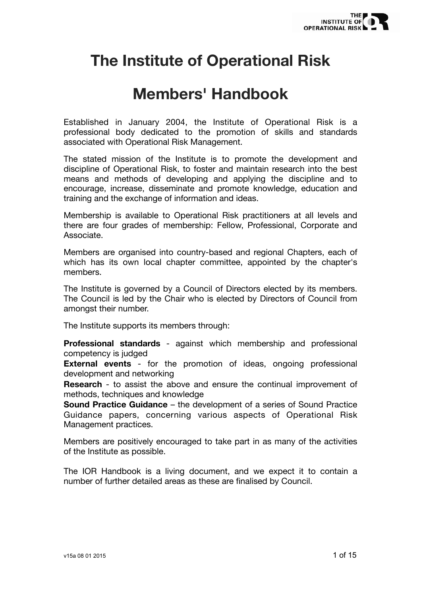

## **The Institute of Operational Risk**

## **Members' Handbook**

Established in January 2004, the Institute of Operational Risk is a professional body dedicated to the promotion of skills and standards associated with Operational Risk Management.

The stated mission of the Institute is to promote the development and discipline of Operational Risk, to foster and maintain research into the best means and methods of developing and applying the discipline and to encourage, increase, disseminate and promote knowledge, education and training and the exchange of information and ideas.

Membership is available to Operational Risk practitioners at all levels and there are four grades of membership: Fellow, Professional, Corporate and Associate.

Members are organised into country-based and regional Chapters, each of which has its own local chapter committee, appointed by the chapter's members.

The Institute is governed by a Council of Directors elected by its members. The Council is led by the Chair who is elected by Directors of Council from amongst their number.

The Institute supports its members through:

**Professional standards** - against which membership and professional competency is judged

**External events** - for the promotion of ideas, ongoing professional development and networking

**Research** - to assist the above and ensure the continual improvement of methods, techniques and knowledge

**Sound Practice Guidance** – the development of a series of Sound Practice Guidance papers, concerning various aspects of Operational Risk Management practices.

Members are positively encouraged to take part in as many of the activities of the Institute as possible.

The IOR Handbook is a living document, and we expect it to contain a number of further detailed areas as these are finalised by Council.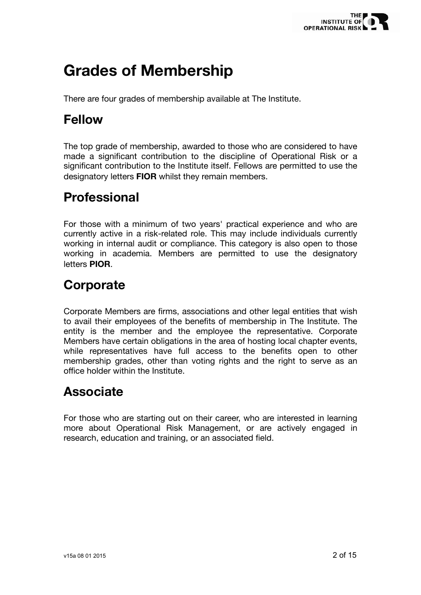

# **Grades of Membership**

There are four grades of membership available at The Institute.

#### **Fellow**

The top grade of membership, awarded to those who are considered to have made a significant contribution to the discipline of Operational Risk or a significant contribution to the Institute itself. Fellows are permitted to use the designatory letters **FIOR** whilst they remain members.

### **Professional**

For those with a minimum of two years' practical experience and who are currently active in a risk-related role. This may include individuals currently working in internal audit or compliance. This category is also open to those working in academia. Members are permitted to use the designatory letters **PIOR**.

### **Corporate**

Corporate Members are firms, associations and other legal entities that wish to avail their employees of the benefits of membership in The Institute. The entity is the member and the employee the representative. Corporate Members have certain obligations in the area of hosting local chapter events, while representatives have full access to the benefits open to other membership grades, other than voting rights and the right to serve as an office holder within the Institute.

#### **Associate**

For those who are starting out on their career, who are interested in learning more about Operational Risk Management, or are actively engaged in research, education and training, or an associated field.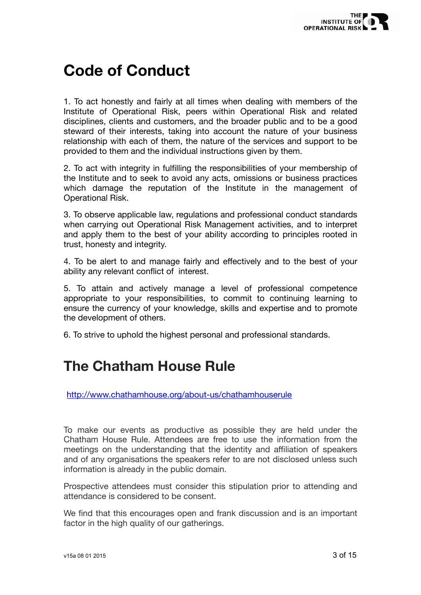# **Code of Conduct**

1. To act honestly and fairly at all times when dealing with members of the Institute of Operational Risk, peers within Operational Risk and related disciplines, clients and customers, and the broader public and to be a good steward of their interests, taking into account the nature of your business relationship with each of them, the nature of the services and support to be provided to them and the individual instructions given by them.

2. To act with integrity in fulfilling the responsibilities of your membership of the Institute and to seek to avoid any acts, omissions or business practices which damage the reputation of the Institute in the management of Operational Risk.

3. To observe applicable law, regulations and professional conduct standards when carrying out Operational Risk Management activities, and to interpret and apply them to the best of your ability according to principles rooted in trust, honesty and integrity.

4. To be alert to and manage fairly and effectively and to the best of your ability any relevant conflict of interest.

5. To attain and actively manage a level of professional competence appropriate to your responsibilities, to commit to continuing learning to ensure the currency of your knowledge, skills and expertise and to promote the development of others.

6. To strive to uphold the highest personal and professional standards.

## **The Chatham House Rule**

<http://www.chathamhouse.org/about-us/chathamhouserule>

To make our events as productive as possible they are held under the Chatham House Rule. Attendees are free to use the information from the meetings on the understanding that the identity and affiliation of speakers and of any organisations the speakers refer to are not disclosed unless such information is already in the public domain.

Prospective attendees must consider this stipulation prior to attending and attendance is considered to be consent.

We find that this encourages open and frank discussion and is an important factor in the high quality of our gatherings.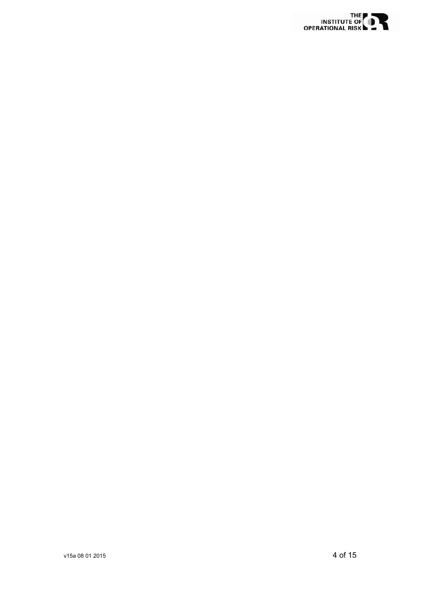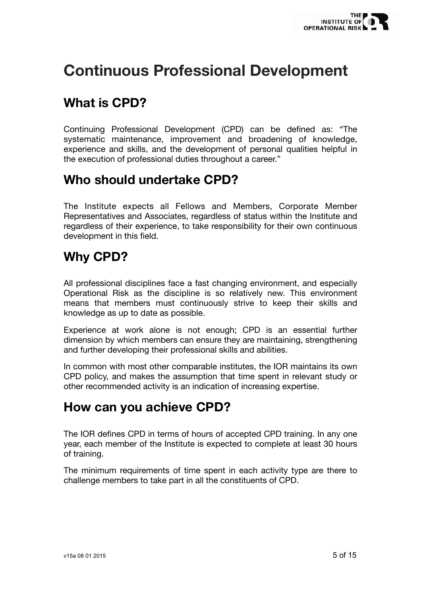# **Continuous Professional Development**

#### **What is CPD?**

Continuing Professional Development (CPD) can be defined as: "The systematic maintenance, improvement and broadening of knowledge, experience and skills, and the development of personal qualities helpful in the execution of professional duties throughout a career."

#### **Who should undertake CPD?**

The Institute expects all Fellows and Members, Corporate Member Representatives and Associates, regardless of status within the Institute and regardless of their experience, to take responsibility for their own continuous development in this field.

#### **Why CPD?**

All professional disciplines face a fast changing environment, and especially Operational Risk as the discipline is so relatively new. This environment means that members must continuously strive to keep their skills and knowledge as up to date as possible.

Experience at work alone is not enough; CPD is an essential further dimension by which members can ensure they are maintaining, strengthening and further developing their professional skills and abilities.

In common with most other comparable institutes, the IOR maintains its own CPD policy, and makes the assumption that time spent in relevant study or other recommended activity is an indication of increasing expertise.

#### **How can you achieve CPD?**

The IOR defines CPD in terms of hours of accepted CPD training. In any one year, each member of the Institute is expected to complete at least 30 hours of training.

The minimum requirements of time spent in each activity type are there to challenge members to take part in all the constituents of CPD.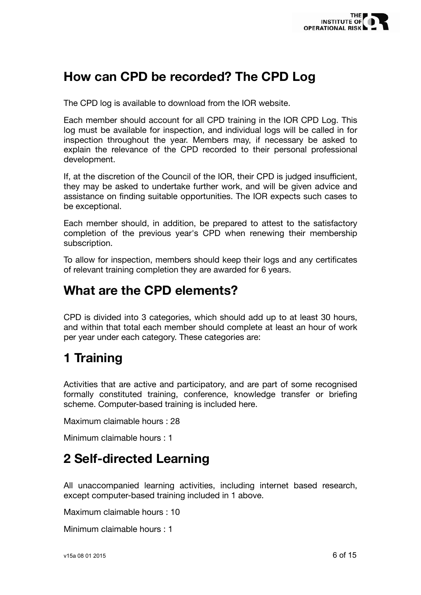

#### **How can CPD be recorded? The CPD Log**

The CPD log is available to download from the IOR website.

Each member should account for all CPD training in the IOR CPD Log. This log must be available for inspection, and individual logs will be called in for inspection throughout the year. Members may, if necessary be asked to explain the relevance of the CPD recorded to their personal professional development.

If, at the discretion of the Council of the IOR, their CPD is judged insufficient, they may be asked to undertake further work, and will be given advice and assistance on finding suitable opportunities. The IOR expects such cases to be exceptional.

Each member should, in addition, be prepared to attest to the satisfactory completion of the previous year's CPD when renewing their membership subscription.

To allow for inspection, members should keep their logs and any certificates of relevant training completion they are awarded for 6 years.

#### **What are the CPD elements?**

CPD is divided into 3 categories, which should add up to at least 30 hours, and within that total each member should complete at least an hour of work per year under each category. These categories are:

#### **1 Training**

Activities that are active and participatory, and are part of some recognised formally constituted training, conference, knowledge transfer or briefing scheme. Computer-based training is included here.

Maximum claimable hours : 28

Minimum claimable hours : 1

#### **2 Self-directed Learning**

All unaccompanied learning activities, including internet based research, except computer-based training included in 1 above.

Maximum claimable hours : 10

Minimum claimable hours : 1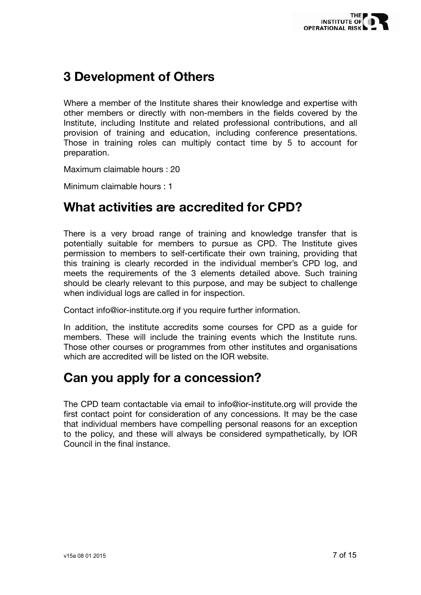### **3 Development of Others**

Where a member of the Institute shares their knowledge and expertise with other members or directly with non-members in the fields covered by the Institute, including Institute and related professional contributions, and all provision of training and education, including conference presentations. Those in training roles can multiply contact time by 5 to account for preparation.

Maximum claimable hours : 20

Minimum claimable hours : 1

#### **What activities are accredited for CPD?**

There is a very broad range of training and knowledge transfer that is potentially suitable for members to pursue as CPD. The Institute gives permission to members to self-certificate their own training, providing that this training is clearly recorded in the individual member's CPD log, and meets the requirements of the 3 elements detailed above. Such training should be clearly relevant to this purpose, and may be subject to challenge when individual logs are called in for inspection.

Contact [info@ior-institute.org](mailto:technology@ior-institute.org) if you require further information.

In addition, the institute accredits some courses for CPD as a guide for members. These will include the training events which the Institute runs. Those other courses or programmes from other institutes and organisations which are accredited will be listed on the IOR website.

#### **Can you apply for a concession?**

The CPD team contactable via email to [info@ior-institute.org](mailto:technology@ior-institute.org) will provide the first contact point for consideration of any concessions. It may be the case that individual members have compelling personal reasons for an exception to the policy, and these will always be considered sympathetically, by IOR Council in the final instance.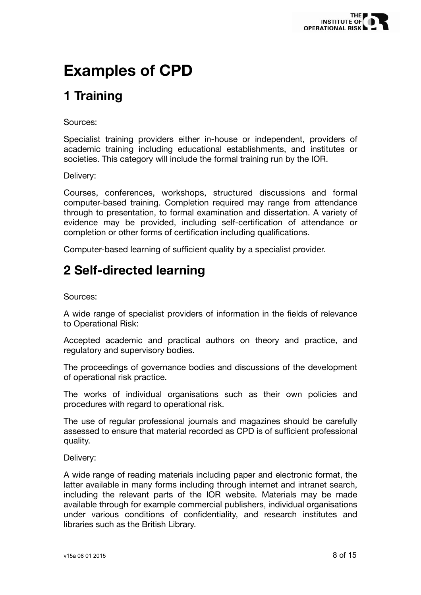

# **Examples of CPD**

### **1 Training**

Sources:

Specialist training providers either in-house or independent, providers of academic training including educational establishments, and institutes or societies. This category will include the formal training run by the IOR.

Delivery:

Courses, conferences, workshops, structured discussions and formal computer-based training. Completion required may range from attendance through to presentation, to formal examination and dissertation. A variety of evidence may be provided, including self-certification of attendance or completion or other forms of certification including qualifications.

Computer-based learning of sufficient quality by a specialist provider.

#### **2 Self-directed learning**

Sources:

A wide range of specialist providers of information in the fields of relevance to Operational Risk:

Accepted academic and practical authors on theory and practice, and regulatory and supervisory bodies.

The proceedings of governance bodies and discussions of the development of operational risk practice.

The works of individual organisations such as their own policies and procedures with regard to operational risk.

The use of regular professional journals and magazines should be carefully assessed to ensure that material recorded as CPD is of sufficient professional quality.

Delivery:

A wide range of reading materials including paper and electronic format, the latter available in many forms including through internet and intranet search, including the relevant parts of the IOR website. Materials may be made available through for example commercial publishers, individual organisations under various conditions of confidentiality, and research institutes and libraries such as the British Library.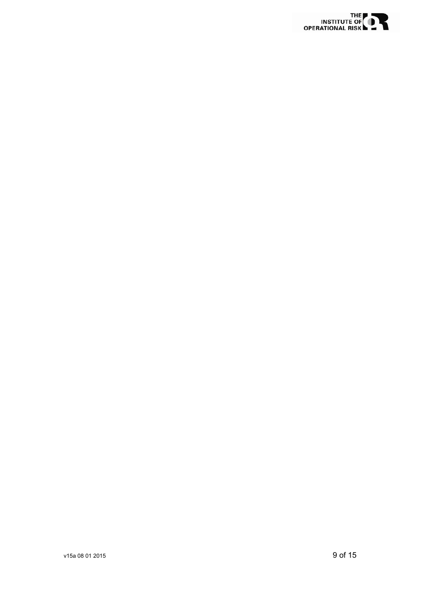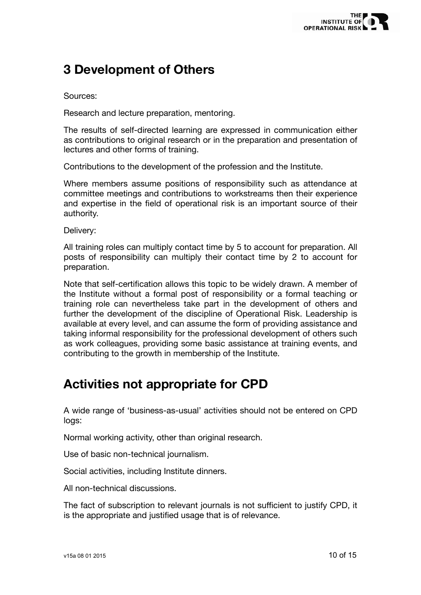

#### **3 Development of Others**

#### Sources:

Research and lecture preparation, mentoring.

The results of self-directed learning are expressed in communication either as contributions to original research or in the preparation and presentation of lectures and other forms of training.

Contributions to the development of the profession and the Institute.

Where members assume positions of responsibility such as attendance at committee meetings and contributions to workstreams then their experience and expertise in the field of operational risk is an important source of their authority.

Delivery:

All training roles can multiply contact time by 5 to account for preparation. All posts of responsibility can multiply their contact time by 2 to account for preparation.

Note that self-certification allows this topic to be widely drawn. A member of the Institute without a formal post of responsibility or a formal teaching or training role can nevertheless take part in the development of others and further the development of the discipline of Operational Risk. Leadership is available at every level, and can assume the form of providing assistance and taking informal responsibility for the professional development of others such as work colleagues, providing some basic assistance at training events, and contributing to the growth in membership of the Institute.

#### **Activities not appropriate for CPD**

A wide range of 'business-as-usual' activities should not be entered on CPD logs:

Normal working activity, other than original research.

Use of basic non-technical journalism.

Social activities, including Institute dinners.

All non-technical discussions.

The fact of subscription to relevant journals is not sufficient to justify CPD, it is the appropriate and justified usage that is of relevance.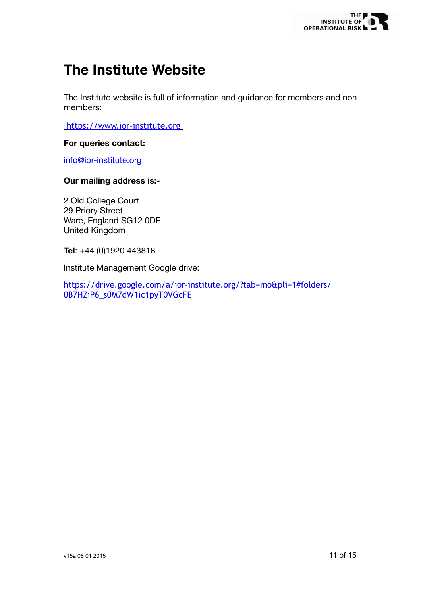

## **The Institute Website**

The Institute website is full of information and guidance for members and non members:

[https://www.ior-institute.org](https://www.ior-institute.org/)

#### **For queries contact:**

info@ior-institute.org

#### **Our mailing address is:-**

2 Old College Court 29 Priory Street Ware, England SG12 0DE United Kingdom

**Tel**: +44 (0)1920 443818

Institute Management Google drive:

[https://drive.google.com/a/ior-institute.org/?tab=mo&pli=1#folders/](https://drive.google.com/a/ior-institute.org/?tab=mo&pli=1#folders/0B7HZiP6_s0M7dW1ic1pyT0VGcFE) 0B7HZiP6\_s0M7dW1ic1pyT0VGcFE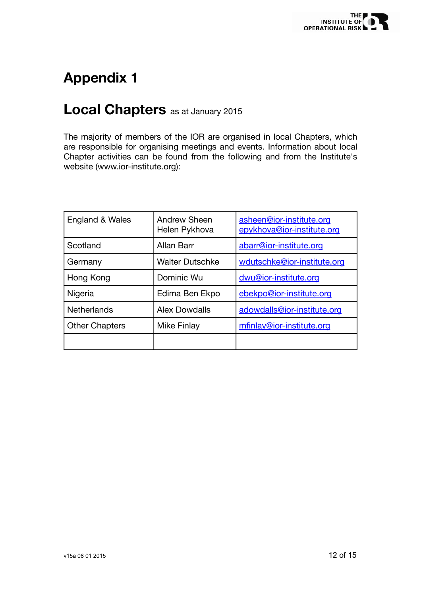# **Appendix 1**

## **Local Chapters** as at January 2015

The majority of members of the IOR are organised in local Chapters, which are responsible for organising meetings and events. Information about local Chapter activities can be found from the following and from the Institute's website (www.ior-institute.org):

| England & Wales       | <b>Andrew Sheen</b><br>Helen Pykhova | asheen@ior-institute.org<br>epykhova@ior-institute.org |
|-----------------------|--------------------------------------|--------------------------------------------------------|
| Scotland              | Allan Barr                           | abarr@ior-institute.org                                |
| Germany               | <b>Walter Dutschke</b>               | wdutschke@ior-institute.org                            |
| Hong Kong             | Dominic Wu                           | dwu@ior-institute.org                                  |
| Nigeria               | Edima Ben Ekpo                       | ebekpo@ior-institute.org                               |
| <b>Netherlands</b>    | <b>Alex Dowdalls</b>                 | adowdalls@ior-institute.org                            |
| <b>Other Chapters</b> | Mike Finlay                          | mfinlay@ior-institute.org                              |
|                       |                                      |                                                        |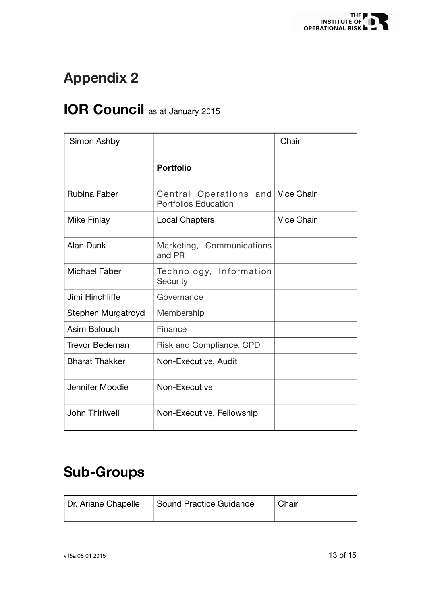

# **Appendix 2**

## **IOR Council** as at January 2015

| Simon Ashby           |                                                       | Chair             |
|-----------------------|-------------------------------------------------------|-------------------|
|                       | <b>Portfolio</b>                                      |                   |
| <b>Rubina Faber</b>   | Central Operations and<br><b>Portfolios Education</b> | Vice Chair        |
| Mike Finlay           | <b>Local Chapters</b>                                 | <b>Vice Chair</b> |
| Alan Dunk             | Marketing, Communications<br>and PR                   |                   |
| <b>Michael Faber</b>  | Technology, Information<br>Security                   |                   |
| Jimi Hinchliffe       | Governance                                            |                   |
| Stephen Murgatroyd    | Membership                                            |                   |
| Asim Balouch          | Finance                                               |                   |
| <b>Trevor Bedeman</b> | Risk and Compliance, CPD                              |                   |
| <b>Bharat Thakker</b> | Non-Executive, Audit                                  |                   |
| Jennifer Moodie       | Non-Executive                                         |                   |
| John Thirlwell        | Non-Executive, Fellowship                             |                   |

# **Sub-Groups**

| Dr. Ariane Chapelle | Sound Practice Guidance | Chair |
|---------------------|-------------------------|-------|
|                     |                         |       |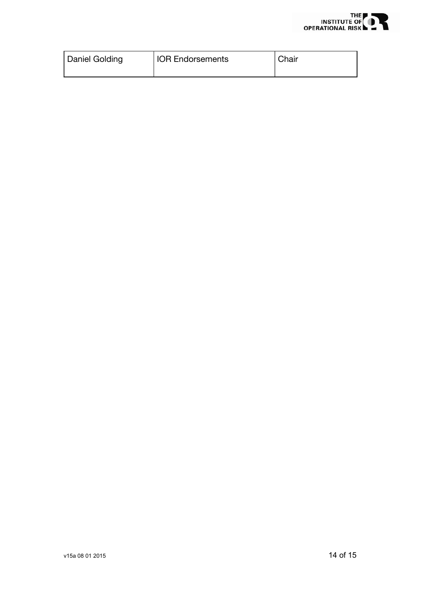

| Daniel Golding | <b>IOR Endorsements</b> | Chair |
|----------------|-------------------------|-------|
|                |                         |       |